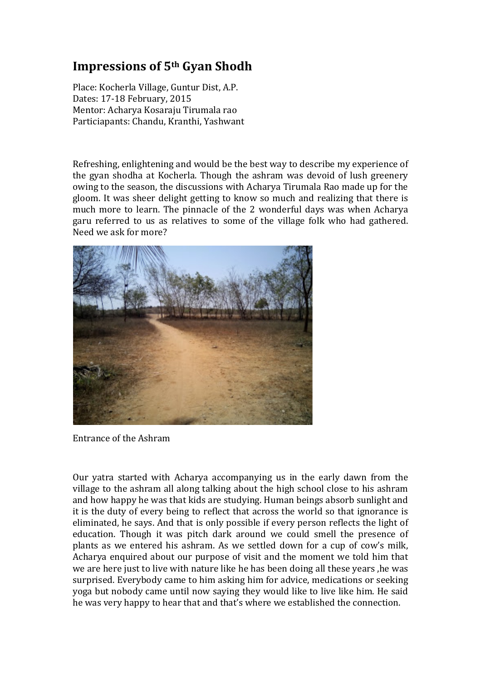## **Impressions of 5th Gyan Shodh**

Place: Kocherla Village, Guntur Dist, A.P. Dates: 17-18 February, 2015 Mentor: Acharya Kosaraju Tirumala rao Particiapants: Chandu, Kranthi, Yashwant

Refreshing, enlightening and would be the best way to describe my experience of the gyan shodha at Kocherla. Though the ashram was devoid of lush greenery owing to the season, the discussions with Acharya Tirumala Rao made up for the gloom. It was sheer delight getting to know so much and realizing that there is much more to learn. The pinnacle of the 2 wonderful days was when Acharya garu referred to us as relatives to some of the village folk who had gathered. Need we ask for more?



Entrance of the Ashram

Our yatra started with Acharya accompanying us in the early dawn from the village to the ashram all along talking about the high school close to his ashram and how happy he was that kids are studying. Human beings absorb sunlight and it is the duty of every being to reflect that across the world so that ignorance is eliminated, he says. And that is only possible if every person reflects the light of education. Though it was pitch dark around we could smell the presence of plants as we entered his ashram. As we settled down for a cup of cow's milk, Acharya enquired about our purpose of visit and the moment we told him that we are here just to live with nature like he has been doing all these years ,he was surprised. Everybody came to him asking him for advice, medications or seeking yoga but nobody came until now saying they would like to live like him. He said he was very happy to hear that and that's where we established the connection.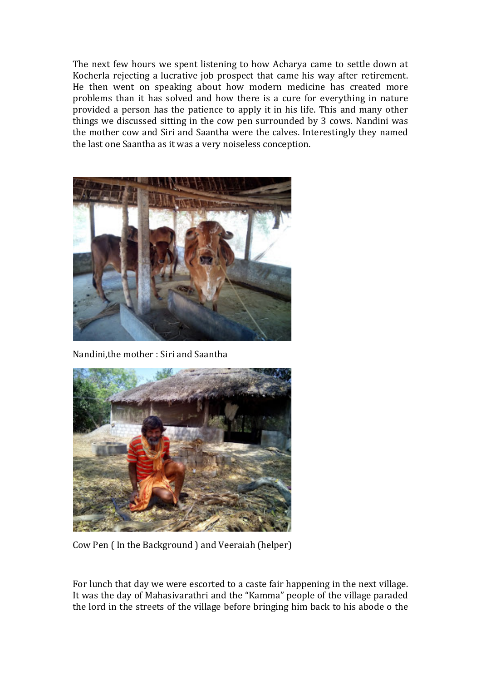The next few hours we spent listening to how Acharya came to settle down at Kocherla rejecting a lucrative job prospect that came his way after retirement. He then went on speaking about how modern medicine has created more problems than it has solved and how there is a cure for everything in nature provided a person has the patience to apply it in his life. This and many other things we discussed sitting in the cow pen surrounded by 3 cows. Nandini was the mother cow and Siri and Saantha were the calves. Interestingly they named the last one Saantha as it was a very noiseless conception.



Nandini,the mother : Siri and Saantha



Cow Pen ( In the Background ) and Veeraiah (helper)

For lunch that day we were escorted to a caste fair happening in the next village. It was the day of Mahasivarathri and the "Kamma" people of the village paraded the lord in the streets of the village before bringing him back to his abode o the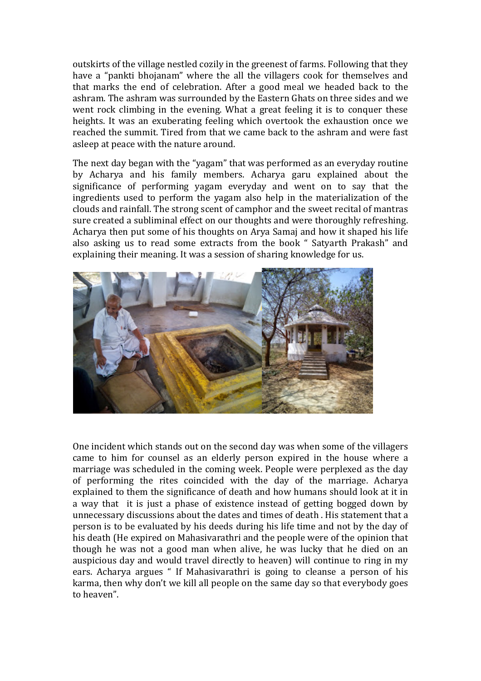outskirts of the village nestled cozily in the greenest of farms. Following that they have a "pankti bhojanam" where the all the villagers cook for themselves and that marks the end of celebration. After a good meal we headed back to the ashram. The ashram was surrounded by the Eastern Ghats on three sides and we went rock climbing in the evening. What a great feeling it is to conquer these heights. It was an exuberating feeling which overtook the exhaustion once we reached the summit. Tired from that we came back to the ashram and were fast asleep at peace with the nature around.

The next day began with the "yagam" that was performed as an everyday routine by Acharya and his family members. Acharya garu explained about the significance of performing yagam everyday and went on to say that the ingredients used to perform the yagam also help in the materialization of the clouds and rainfall. The strong scent of camphor and the sweet recital of mantras sure created a subliminal effect on our thoughts and were thoroughly refreshing. Acharya then put some of his thoughts on Arya Samaj and how it shaped his life also asking us to read some extracts from the book " Satyarth Prakash" and explaining their meaning. It was a session of sharing knowledge for us.



One incident which stands out on the second day was when some of the villagers came to him for counsel as an elderly person expired in the house where a marriage was scheduled in the coming week. People were perplexed as the day of performing the rites coincided with the day of the marriage. Acharya explained to them the significance of death and how humans should look at it in a way that it is just a phase of existence instead of getting bogged down by unnecessary discussions about the dates and times of death . His statement that a person is to be evaluated by his deeds during his life time and not by the day of his death (He expired on Mahasivarathri and the people were of the opinion that though he was not a good man when alive, he was lucky that he died on an auspicious day and would travel directly to heaven) will continue to ring in my ears. Acharya argues " If Mahasivarathri is going to cleanse a person of his karma, then why don't we kill all people on the same day so that everybody goes to heaven".